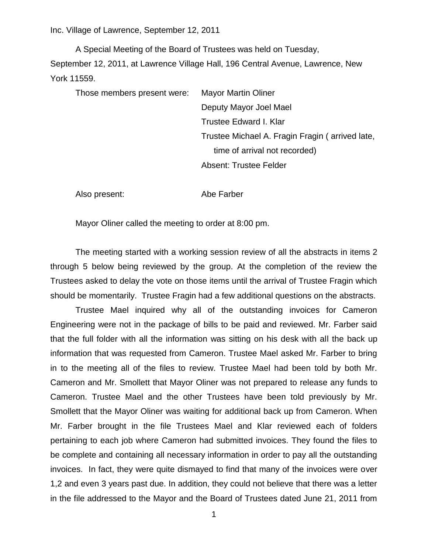Inc. Village of Lawrence, September 12, 2011

A Special Meeting of the Board of Trustees was held on Tuesday, September 12, 2011, at Lawrence Village Hall, 196 Central Avenue, Lawrence, New York 11559.

Those members present were: Mayor Martin Oliner Deputy Mayor Joel Mael Trustee Edward I. Klar Trustee Michael A. Fragin Fragin ( arrived late, time of arrival not recorded) Absent: Trustee Felder

Also present: Abe Farber

Mayor Oliner called the meeting to order at 8:00 pm.

The meeting started with a working session review of all the abstracts in items 2 through 5 below being reviewed by the group. At the completion of the review the Trustees asked to delay the vote on those items until the arrival of Trustee Fragin which should be momentarily. Trustee Fragin had a few additional questions on the abstracts.

Trustee Mael inquired why all of the outstanding invoices for Cameron Engineering were not in the package of bills to be paid and reviewed. Mr. Farber said that the full folder with all the information was sitting on his desk with all the back up information that was requested from Cameron. Trustee Mael asked Mr. Farber to bring in to the meeting all of the files to review. Trustee Mael had been told by both Mr. Cameron and Mr. Smollett that Mayor Oliner was not prepared to release any funds to Cameron. Trustee Mael and the other Trustees have been told previously by Mr. Smollett that the Mayor Oliner was waiting for additional back up from Cameron. When Mr. Farber brought in the file Trustees Mael and Klar reviewed each of folders pertaining to each job where Cameron had submitted invoices. They found the files to be complete and containing all necessary information in order to pay all the outstanding invoices. In fact, they were quite dismayed to find that many of the invoices were over 1,2 and even 3 years past due. In addition, they could not believe that there was a letter in the file addressed to the Mayor and the Board of Trustees dated June 21, 2011 from

1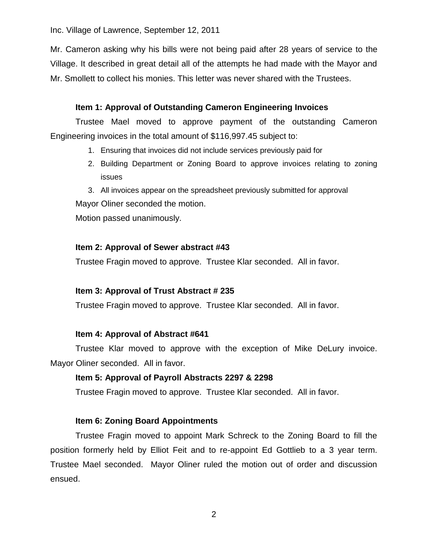Inc. Village of Lawrence, September 12, 2011

Mr. Cameron asking why his bills were not being paid after 28 years of service to the Village. It described in great detail all of the attempts he had made with the Mayor and Mr. Smollett to collect his monies. This letter was never shared with the Trustees.

# **Item 1: Approval of Outstanding Cameron Engineering Invoices**

Trustee Mael moved to approve payment of the outstanding Cameron Engineering invoices in the total amount of \$116,997.45 subject to:

- 1. Ensuring that invoices did not include services previously paid for
- 2. Building Department or Zoning Board to approve invoices relating to zoning issues

3. All invoices appear on the spreadsheet previously submitted for approval Mayor Oliner seconded the motion.

Motion passed unanimously.

## **Item 2: Approval of Sewer abstract #43**

Trustee Fragin moved to approve. Trustee Klar seconded. All in favor.

### **Item 3: Approval of Trust Abstract # 235**

Trustee Fragin moved to approve. Trustee Klar seconded. All in favor.

### **Item 4: Approval of Abstract #641**

Trustee Klar moved to approve with the exception of Mike DeLury invoice. Mayor Oliner seconded. All in favor.

#### **Item 5: Approval of Payroll Abstracts 2297 & 2298**

Trustee Fragin moved to approve. Trustee Klar seconded. All in favor.

### **Item 6: Zoning Board Appointments**

Trustee Fragin moved to appoint Mark Schreck to the Zoning Board to fill the position formerly held by Elliot Feit and to re-appoint Ed Gottlieb to a 3 year term. Trustee Mael seconded. Mayor Oliner ruled the motion out of order and discussion ensued.